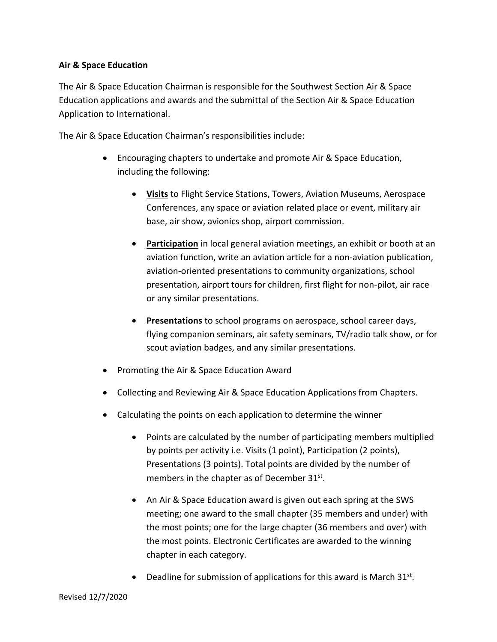## **Air & Space Education**

The Air & Space Education Chairman is responsible for the Southwest Section Air & Space Education applications and awards and the submittal of the Section Air & Space Education Application to International.

The Air & Space Education Chairman's responsibilities include:

- Encouraging chapters to undertake and promote Air & Space Education, including the following:
	- **Visits** to Flight Service Stations, Towers, Aviation Museums, Aerospace Conferences, any space or aviation related place or event, military air base, air show, avionics shop, airport commission.
	- **Participation** in local general aviation meetings, an exhibit or booth at an aviation function, write an aviation article for a non-aviation publication, aviation-oriented presentations to community organizations, school presentation, airport tours for children, first flight for non-pilot, air race or any similar presentations.
	- **Presentations** to school programs on aerospace, school career days, flying companion seminars, air safety seminars, TV/radio talk show, or for scout aviation badges, and any similar presentations.
- Promoting the Air & Space Education Award
- Collecting and Reviewing Air & Space Education Applications from Chapters.
- Calculating the points on each application to determine the winner
	- Points are calculated by the number of participating members multiplied by points per activity i.e. Visits (1 point), Participation (2 points), Presentations (3 points). Total points are divided by the number of members in the chapter as of December 31st.
	- An Air & Space Education award is given out each spring at the SWS meeting; one award to the small chapter (35 members and under) with the most points; one for the large chapter (36 members and over) with the most points. Electronic Certificates are awarded to the winning chapter in each category.
	- Deadline for submission of applications for this award is March  $31^{st}$ .